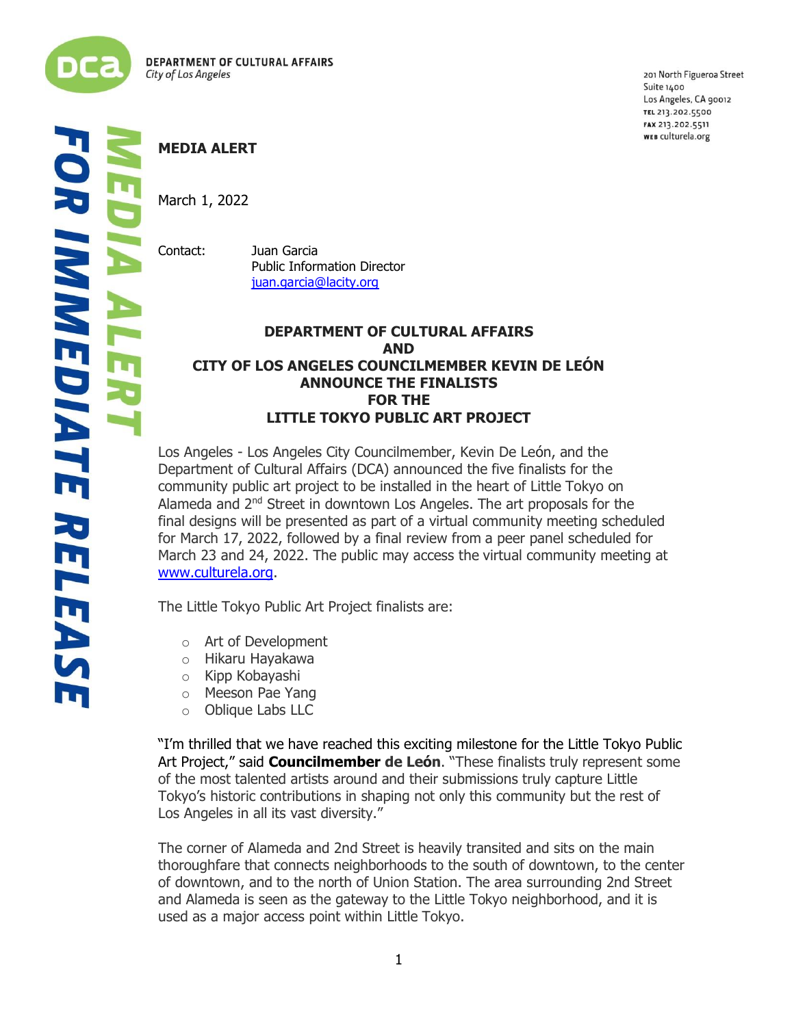

ļ į 201 North Figueroa Street Suite 1400 Los Angeles, CA 90012 TEL 213.202.5500 FAX 213.202.5511 WEB culturela.org

March 1, 2022

Contact: Juan Garcia Public Information Director [juan.garcia@lacity.org](mailto:juan.garcia@lacity.org)

## **DEPARTMENT OF CULTURAL AFFAIRS AND CITY OF LOS ANGELES COUNCILMEMBER KEVIN DE LEÓN ANNOUNCE THE FINALISTS FOR THE LITTLE TOKYO PUBLIC ART PROJECT**

Los Angeles - Los Angeles City Councilmember, Kevin De León, and the Department of Cultural Affairs (DCA) announced the five finalists for the community public art project to be installed in the heart of Little Tokyo on Alameda and 2<sup>nd</sup> Street in downtown Los Angeles. The art proposals for the final designs will be presented as part of a virtual community meeting scheduled for March 17, 2022, followed by a final review from a peer panel scheduled for March 23 and 24, 2022. The public may access the virtual community meeting at [www.culturela.org.](http://www.culturela.org/)

The Little Tokyo Public Art Project finalists are:

- o Art of Development
- o Hikaru Hayakawa
- o Kipp Kobayashi
- o Meeson Pae Yang
- o Oblique Labs LLC

"I'm thrilled that we have reached this exciting milestone for the Little Tokyo Public Art Project," said **Councilmember de León**. "These finalists truly represent some of the most talented artists around and their submissions truly capture Little Tokyo's historic contributions in shaping not only this community but the rest of Los Angeles in all its vast diversity."

The corner of Alameda and 2nd Street is heavily transited and sits on the main thoroughfare that connects neighborhoods to the south of downtown, to the center of downtown, and to the north of Union Station. The area surrounding 2nd Street and Alameda is seen as the gateway to the Little Tokyo neighborhood, and it is used as a major access point within Little Tokyo.